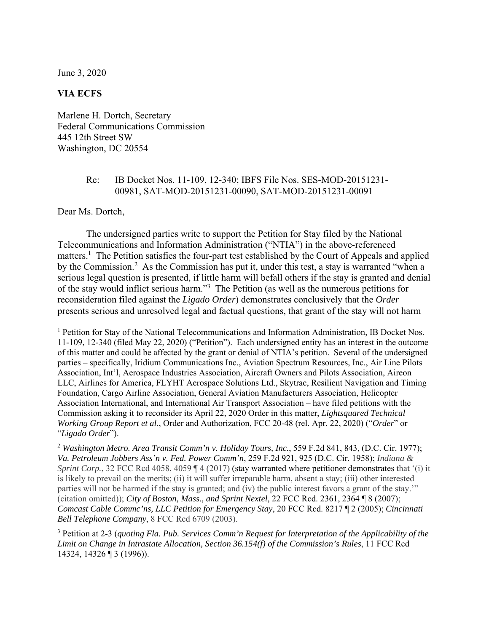June 3, 2020

## **VIA ECFS**

Marlene H. Dortch, Secretary Federal Communications Commission 445 12th Street SW Washington, DC 20554

## Re: IB Docket Nos. 11-109, 12-340; IBFS File Nos. SES-MOD-20151231- 00981, SAT-MOD-20151231-00090, SAT-MOD-20151231-00091

Dear Ms. Dortch,

 $\overline{a}$ 

The undersigned parties write to support the Petition for Stay filed by the National Telecommunications and Information Administration ("NTIA") in the above-referenced matters.<sup>1</sup> The Petition satisfies the four-part test established by the Court of Appeals and applied by the Commission.<sup>2</sup> As the Commission has put it, under this test, a stay is warranted "when a serious legal question is presented, if little harm will befall others if the stay is granted and denial of the stay would inflict serious harm."<sup>3</sup> The Petition (as well as the numerous petitions for reconsideration filed against the *Ligado Order*) demonstrates conclusively that the *Order*  presents serious and unresolved legal and factual questions, that grant of the stay will not harm

<sup>&</sup>lt;sup>1</sup> Petition for Stay of the National Telecommunications and Information Administration, IB Docket Nos. 11-109, 12-340 (filed May 22, 2020) ("Petition"). Each undersigned entity has an interest in the outcome of this matter and could be affected by the grant or denial of NTIA's petition. Several of the undersigned parties – specifically, Iridium Communications Inc., Aviation Spectrum Resources, Inc., Air Line Pilots Association, Int'l, Aerospace Industries Association, Aircraft Owners and Pilots Association, Aireon LLC, Airlines for America, FLYHT Aerospace Solutions Ltd., Skytrac, Resilient Navigation and Timing Foundation, Cargo Airline Association, General Aviation Manufacturers Association, Helicopter Association International, and International Air Transport Association – have filed petitions with the Commission asking it to reconsider its April 22, 2020 Order in this matter, *Lightsquared Technical Working Group Report et al.*, Order and Authorization, FCC 20-48 (rel. Apr. 22, 2020) ("*Order*" or "*Ligado Order*").

<sup>2</sup> *Washington Metro. Area Transit Comm'n v. Holiday Tours, Inc.*, 559 F.2d 841, 843, (D.C. Cir. 1977); *Va. Petroleum Jobbers Ass'n v. Fed. Power Comm'n*, 259 F.2d 921, 925 (D.C. Cir. 1958); *Indiana & Sprint Corp.*, 32 FCC Rcd 4058, 4059 ¶ 4 (2017) (stay warranted where petitioner demonstrates that '(i) it is likely to prevail on the merits; (ii) it will suffer irreparable harm, absent a stay; (iii) other interested parties will not be harmed if the stay is granted; and (iv) the public interest favors a grant of the stay.'" (citation omitted)); *City of Boston, Mass., and Sprint Nextel*, 22 FCC Rcd. 2361, 2364 ¶ 8 (2007); *Comcast Cable Commc'ns, LLC Petition for Emergency Stay*, 20 FCC Rcd. 8217 ¶ 2 (2005); *Cincinnati Bell Telephone Company*, 8 FCC Rcd 6709 (2003).

<sup>&</sup>lt;sup>3</sup> Petition at 2-3 (*quoting Fla. Pub. Services Comm'n Request for Interpretation of the Applicability of the Limit on Change in Intrastate Allocation, Section 36.154(f) of the Commission's Rules*, 11 FCC Rcd 14324, 14326 ¶ 3 (1996)).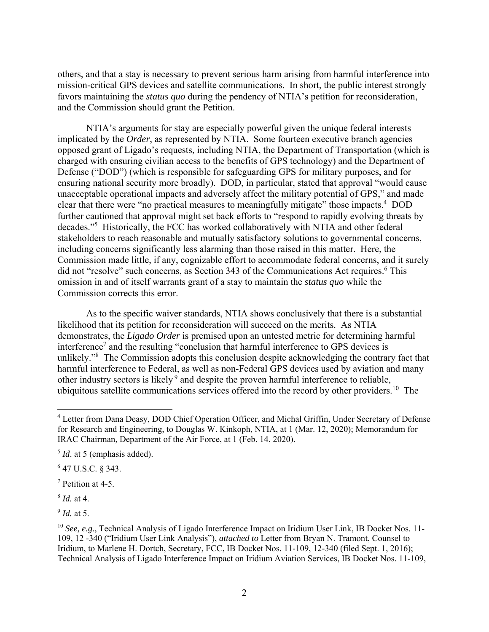others, and that a stay is necessary to prevent serious harm arising from harmful interference into mission-critical GPS devices and satellite communications. In short, the public interest strongly favors maintaining the *status quo* during the pendency of NTIA's petition for reconsideration, and the Commission should grant the Petition.

NTIA's arguments for stay are especially powerful given the unique federal interests implicated by the *Order*, as represented by NTIA. Some fourteen executive branch agencies opposed grant of Ligado's requests, including NTIA, the Department of Transportation (which is charged with ensuring civilian access to the benefits of GPS technology) and the Department of Defense ("DOD") (which is responsible for safeguarding GPS for military purposes, and for ensuring national security more broadly). DOD, in particular, stated that approval "would cause unacceptable operational impacts and adversely affect the military potential of GPS," and made clear that there were "no practical measures to meaningfully mitigate" those impacts.<sup>4</sup> DOD further cautioned that approval might set back efforts to "respond to rapidly evolving threats by decades."5 Historically, the FCC has worked collaboratively with NTIA and other federal stakeholders to reach reasonable and mutually satisfactory solutions to governmental concerns, including concerns significantly less alarming than those raised in this matter. Here, the Commission made little, if any, cognizable effort to accommodate federal concerns, and it surely did not "resolve" such concerns, as Section 343 of the Communications Act requires.<sup>6</sup> This omission in and of itself warrants grant of a stay to maintain the *status quo* while the Commission corrects this error.

As to the specific waiver standards, NTIA shows conclusively that there is a substantial likelihood that its petition for reconsideration will succeed on the merits. As NTIA demonstrates, the *Ligado Order* is premised upon an untested metric for determining harmful interference<sup>7</sup> and the resulting "conclusion that harmful interference to GPS devices is unlikely."<sup>8</sup> The Commission adopts this conclusion despite acknowledging the contrary fact that harmful interference to Federal, as well as non-Federal GPS devices used by aviation and many other industry sectors is likely 9 and despite the proven harmful interference to reliable, ubiquitous satellite communications services offered into the record by other providers.<sup>10</sup> The

 $6$  47 U.S.C. § 343.

7 Petition at 4-5.

<sup>8</sup> *Id.* at 4.

1

<sup>9</sup> *Id.* at 5.

<sup>&</sup>lt;sup>4</sup> Letter from Dana Deasy, DOD Chief Operation Officer, and Michal Griffin, Under Secretary of Defense for Research and Engineering, to Douglas W. Kinkoph, NTIA, at 1 (Mar. 12, 2020); Memorandum for IRAC Chairman, Department of the Air Force, at 1 (Feb. 14, 2020).

<sup>&</sup>lt;sup>5</sup> *Id.* at 5 (emphasis added).

<sup>&</sup>lt;sup>10</sup> See, e.g., Technical Analysis of Ligado Interference Impact on Iridium User Link, IB Docket Nos. 11-109, 12 -340 ("Iridium User Link Analysis"), *attached to* Letter from Bryan N. Tramont, Counsel to Iridium, to Marlene H. Dortch, Secretary, FCC, IB Docket Nos. 11-109, 12-340 (filed Sept. 1, 2016); Technical Analysis of Ligado Interference Impact on Iridium Aviation Services, IB Docket Nos. 11-109,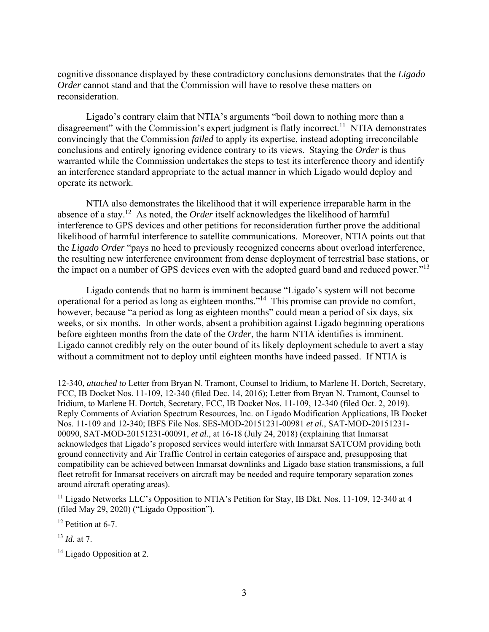cognitive dissonance displayed by these contradictory conclusions demonstrates that the *Ligado Order* cannot stand and that the Commission will have to resolve these matters on reconsideration.

Ligado's contrary claim that NTIA's arguments "boil down to nothing more than a disagreement" with the Commission's expert judgment is flatly incorrect.<sup>11</sup> NTIA demonstrates convincingly that the Commission *failed* to apply its expertise, instead adopting irreconcilable conclusions and entirely ignoring evidence contrary to its views. Staying the *Order* is thus warranted while the Commission undertakes the steps to test its interference theory and identify an interference standard appropriate to the actual manner in which Ligado would deploy and operate its network.

NTIA also demonstrates the likelihood that it will experience irreparable harm in the absence of a stay.12 As noted, the *Order* itself acknowledges the likelihood of harmful interference to GPS devices and other petitions for reconsideration further prove the additional likelihood of harmful interference to satellite communications. Moreover, NTIA points out that the *Ligado Order* "pays no heed to previously recognized concerns about overload interference, the resulting new interference environment from dense deployment of terrestrial base stations, or the impact on a number of GPS devices even with the adopted guard band and reduced power."<sup>13</sup>

Ligado contends that no harm is imminent because "Ligado's system will not become operational for a period as long as eighteen months."14 This promise can provide no comfort, however, because "a period as long as eighteen months" could mean a period of six days, six weeks, or six months. In other words, absent a prohibition against Ligado beginning operations before eighteen months from the date of the *Order*, the harm NTIA identifies is imminent. Ligado cannot credibly rely on the outer bound of its likely deployment schedule to avert a stay without a commitment not to deploy until eighteen months have indeed passed. If NTIA is

 $\overline{a}$ 

<sup>12-340,</sup> *attached to* Letter from Bryan N. Tramont, Counsel to Iridium, to Marlene H. Dortch, Secretary, FCC, IB Docket Nos. 11-109, 12-340 (filed Dec. 14, 2016); Letter from Bryan N. Tramont, Counsel to Iridium, to Marlene H. Dortch, Secretary, FCC, IB Docket Nos. 11-109, 12-340 (filed Oct. 2, 2019). Reply Comments of Aviation Spectrum Resources, Inc. on Ligado Modification Applications, IB Docket Nos. 11-109 and 12-340; IBFS File Nos. SES-MOD-20151231-00981 *et al.*, SAT-MOD-20151231- 00090, SAT-MOD-20151231-00091, *et al.*, at 16-18 (July 24, 2018) (explaining that Inmarsat acknowledges that Ligado's proposed services would interfere with Inmarsat SATCOM providing both ground connectivity and Air Traffic Control in certain categories of airspace and, presupposing that compatibility can be achieved between Inmarsat downlinks and Ligado base station transmissions, a full fleet retrofit for Inmarsat receivers on aircraft may be needed and require temporary separation zones around aircraft operating areas).

<sup>&</sup>lt;sup>11</sup> Ligado Networks LLC's Opposition to NTIA's Petition for Stay, IB Dkt. Nos. 11-109, 12-340 at 4 (filed May 29, 2020) ("Ligado Opposition").

<sup>&</sup>lt;sup>12</sup> Petition at 6-7.

<sup>13</sup> *Id.* at 7.

<sup>&</sup>lt;sup>14</sup> Ligado Opposition at 2.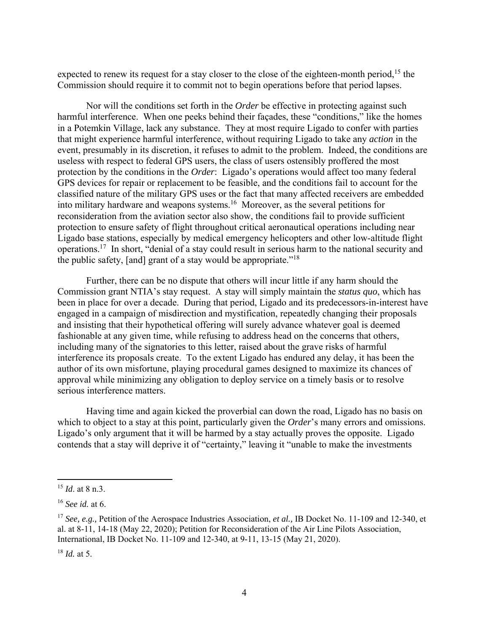expected to renew its request for a stay closer to the close of the eighteen-month period,<sup>15</sup> the Commission should require it to commit not to begin operations before that period lapses.

Nor will the conditions set forth in the *Order* be effective in protecting against such harmful interference. When one peeks behind their façades, these "conditions," like the homes in a Potemkin Village, lack any substance. They at most require Ligado to confer with parties that might experience harmful interference, without requiring Ligado to take any *action* in the event, presumably in its discretion, it refuses to admit to the problem. Indeed, the conditions are useless with respect to federal GPS users, the class of users ostensibly proffered the most protection by the conditions in the *Order*: Ligado's operations would affect too many federal GPS devices for repair or replacement to be feasible, and the conditions fail to account for the classified nature of the military GPS uses or the fact that many affected receivers are embedded into military hardware and weapons systems.16 Moreover, as the several petitions for reconsideration from the aviation sector also show, the conditions fail to provide sufficient protection to ensure safety of flight throughout critical aeronautical operations including near Ligado base stations, especially by medical emergency helicopters and other low-altitude flight operations.17 In short, "denial of a stay could result in serious harm to the national security and the public safety, [and] grant of a stay would be appropriate."<sup>18</sup>

Further, there can be no dispute that others will incur little if any harm should the Commission grant NTIA's stay request. A stay will simply maintain the *status quo*, which has been in place for over a decade. During that period, Ligado and its predecessors-in-interest have engaged in a campaign of misdirection and mystification, repeatedly changing their proposals and insisting that their hypothetical offering will surely advance whatever goal is deemed fashionable at any given time, while refusing to address head on the concerns that others, including many of the signatories to this letter, raised about the grave risks of harmful interference its proposals create. To the extent Ligado has endured any delay, it has been the author of its own misfortune, playing procedural games designed to maximize its chances of approval while minimizing any obligation to deploy service on a timely basis or to resolve serious interference matters.

Having time and again kicked the proverbial can down the road, Ligado has no basis on which to object to a stay at this point, particularly given the *Order*'s many errors and omissions. Ligado's only argument that it will be harmed by a stay actually proves the opposite. Ligado contends that a stay will deprive it of "certainty," leaving it "unable to make the investments

 $\overline{a}$ 

<sup>15</sup> *Id*. at 8 n.3.

<sup>16</sup> *See id.* at 6.

<sup>17</sup> *See, e.g.,* Petition of the Aerospace Industries Association, *et al.,* IB Docket No. 11-109 and 12-340, et al. at 8-11, 14-18 (May 22, 2020); Petition for Reconsideration of the Air Line Pilots Association, International, IB Docket No. 11-109 and 12-340, at 9-11, 13-15 (May 21, 2020).

<sup>18</sup> *Id.* at 5.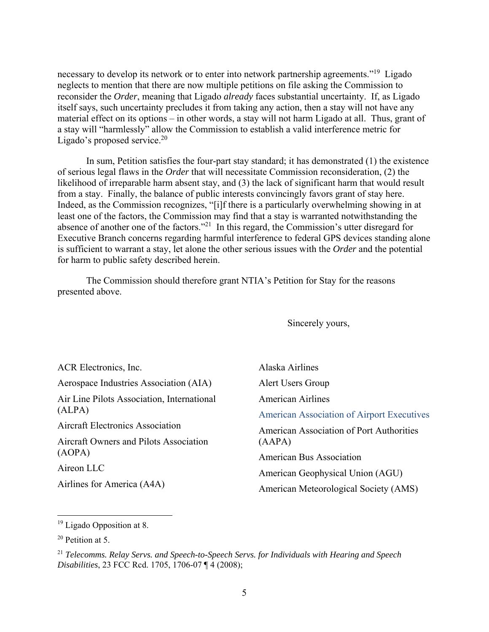necessary to develop its network or to enter into network partnership agreements."<sup>19</sup> Ligado neglects to mention that there are now multiple petitions on file asking the Commission to reconsider the *Order*, meaning that Ligado *already* faces substantial uncertainty. If, as Ligado itself says, such uncertainty precludes it from taking any action, then a stay will not have any material effect on its options – in other words, a stay will not harm Ligado at all. Thus, grant of a stay will "harmlessly" allow the Commission to establish a valid interference metric for Ligado's proposed service. $20$ 

In sum, Petition satisfies the four-part stay standard; it has demonstrated (1) the existence of serious legal flaws in the *Order* that will necessitate Commission reconsideration, (2) the likelihood of irreparable harm absent stay, and (3) the lack of significant harm that would result from a stay. Finally, the balance of public interests convincingly favors grant of stay here. Indeed, as the Commission recognizes, "[i]f there is a particularly overwhelming showing in at least one of the factors, the Commission may find that a stay is warranted notwithstanding the absence of another one of the factors."21 In this regard, the Commission's utter disregard for Executive Branch concerns regarding harmful interference to federal GPS devices standing alone is sufficient to warrant a stay, let alone the other serious issues with the *Order* and the potential for harm to public safety described herein.

The Commission should therefore grant NTIA's Petition for Stay for the reasons presented above.

Sincerely yours,

| ACR Electronics, Inc.                      | Alaska Airlines                                   |
|--------------------------------------------|---------------------------------------------------|
| Aerospace Industries Association (AIA)     | Alert Users Group                                 |
| Air Line Pilots Association, International | <b>American Airlines</b>                          |
| (ALPA)                                     | <b>American Association of Airport Executives</b> |
| <b>Aircraft Electronics Association</b>    | <b>American Association of Port Authorities</b>   |
| Aircraft Owners and Pilots Association     | (AAPA)                                            |
| (AOPA)                                     | <b>American Bus Association</b>                   |
| Aireon LLC                                 | American Geophysical Union (AGU)                  |
| Airlines for America (A4A)                 | American Meteorological Society (AMS)             |

 $\overline{a}$ 

<sup>&</sup>lt;sup>19</sup> Ligado Opposition at 8.

<sup>20</sup> Petition at 5.

<sup>21</sup> *Telecomms. Relay Servs. and Speech-to-Speech Servs. for Individuals with Hearing and Speech Disabilities*, 23 FCC Rcd. 1705, 1706-07 ¶ 4 (2008);